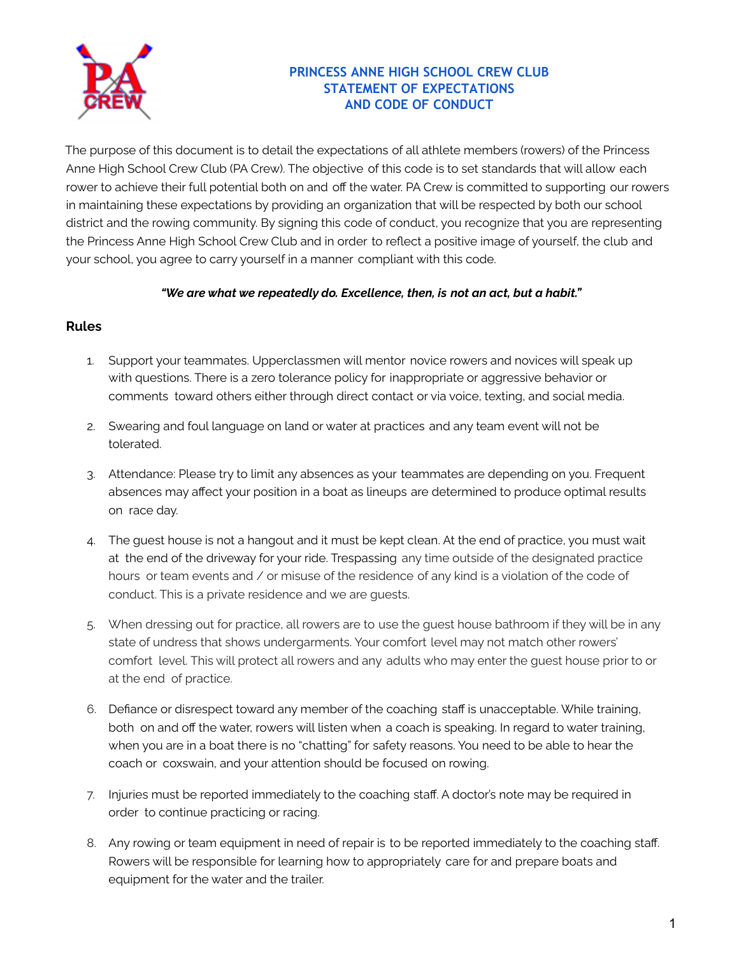

## **PRINCESS ANNE HIGH SCHOOL CREW CLUB STATEMENT OF EXPECTATIONS AND CODE OF CONDUCT**

The purpose of this document is to detail the expectations of all athlete members (rowers) of the Princess Anne High School Crew Club (PA Crew). The objective of this code is to set standards that will allow each rower to achieve their full potential both on and off the water. PA Crew is committed to supporting our rowers in maintaining these expectations by providing an organization that will be respected by both our school district and the rowing community. By signing this code of conduct, you recognize that you are representing the Princess Anne High School Crew Club and in order to reflect a positive image of yourself, the club and your school, you agree to carry yourself in a manner compliant with this code.

## *"We are what we repeatedly do. Excellence, then, is not an act, but a habit."*

## **Rules**

- 1. Support your teammates. Upperclassmen will mentor novice rowers and novices will speak up with questions. There is a zero tolerance policy for inappropriate or aggressive behavior or comments toward others either through direct contact or via voice, texting, and social media.
- 2. Swearing and foul language on land or water at practices and any team event will not be tolerated.
- 3. Attendance: Please try to limit any absences as your teammates are depending on you. Frequent absences may affect your position in a boat as lineups are determined to produce optimal results on race day.
- 4. The guest house is not a hangout and it must be kept clean. At the end of practice, you must wait at the end of the driveway for your ride. Trespassing any time outside of the designated practice hours or team events and / or misuse of the residence of any kind is a violation of the code of conduct. This is a private residence and we are guests.
- 5. When dressing out for practice, all rowers are to use the guest house bathroom if they will be in any state of undress that shows undergarments. Your comfort level may not match other rowers' comfort level. This will protect all rowers and any adults who may enter the guest house prior to or at the end of practice.
- 6. Defiance or disrespect toward any member of the coaching staff is unacceptable. While training, both on and off the water, rowers will listen when a coach is speaking. In regard to water training, when you are in a boat there is no "chatting" for safety reasons. You need to be able to hear the coach or coxswain, and your attention should be focused on rowing.
- 7. Injuries must be reported immediately to the coaching staff. A doctor's note may be required in order to continue practicing or racing.
- 8. Any rowing or team equipment in need of repair is to be reported immediately to the coaching staff. Rowers will be responsible for learning how to appropriately care for and prepare boats and equipment for the water and the trailer.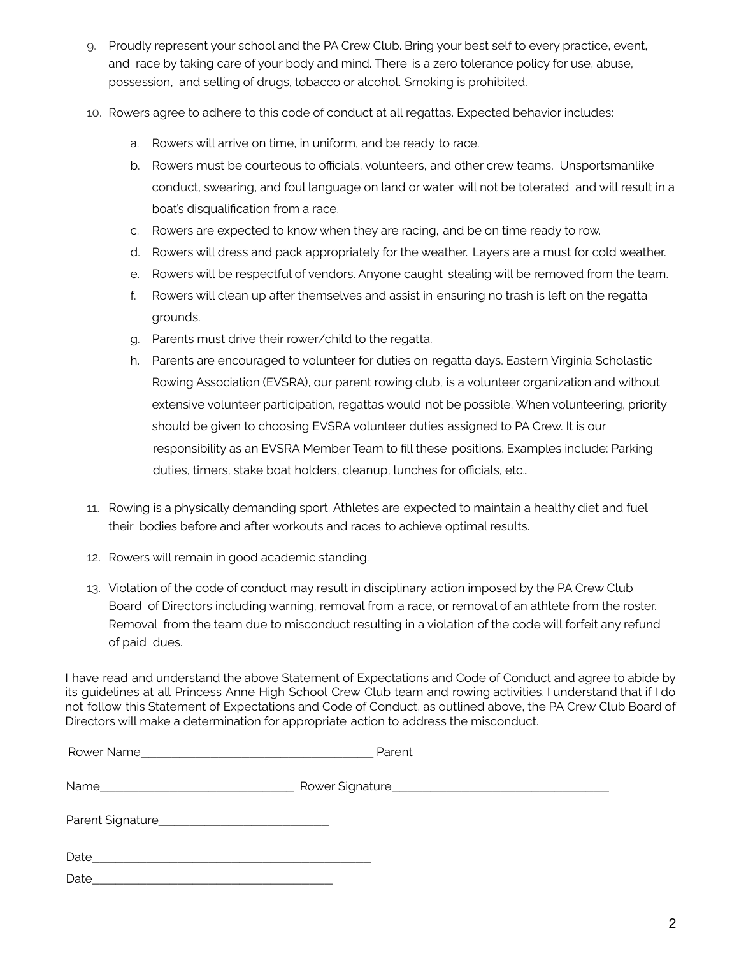- 9. Proudly represent your school and the PA Crew Club. Bring your best self to every practice, event, and race by taking care of your body and mind. There is a zero tolerance policy for use, abuse, possession, and selling of drugs, tobacco or alcohol. Smoking is prohibited.
- 10. Rowers agree to adhere to this code of conduct at all regattas. Expected behavior includes:
	- a. Rowers will arrive on time, in uniform, and be ready to race.
	- b. Rowers must be courteous to officials, volunteers, and other crew teams. Unsportsmanlike conduct, swearing, and foul language on land or water will not be tolerated and will result in a boat's disqualification from a race.
	- c. Rowers are expected to know when they are racing, and be on time ready to row.
	- d. Rowers will dress and pack appropriately for the weather. Layers are a must for cold weather.
	- e. Rowers will be respectful of vendors. Anyone caught stealing will be removed from the team.
	- f. Rowers will clean up after themselves and assist in ensuring no trash is left on the regatta grounds.
	- g. Parents must drive their rower/child to the regatta.
	- h. Parents are encouraged to volunteer for duties on regatta days. Eastern Virginia Scholastic Rowing Association (EVSRA), our parent rowing club, is a volunteer organization and without extensive volunteer participation, regattas would not be possible. When volunteering, priority should be given to choosing EVSRA volunteer duties assigned to PA Crew. It is our responsibility as an EVSRA Member Team to fill these positions. Examples include: Parking duties, timers, stake boat holders, cleanup, lunches for officials, etc…
- 11. Rowing is a physically demanding sport. Athletes are expected to maintain a healthy diet and fuel their bodies before and after workouts and races to achieve optimal results.
- 12. Rowers will remain in good academic standing.
- 13. Violation of the code of conduct may result in disciplinary action imposed by the PA Crew Club Board of Directors including warning, removal from a race, or removal of an athlete from the roster. Removal from the team due to misconduct resulting in a violation of the code will forfeit any refund of paid dues.

I have read and understand the above Statement of Expectations and Code of Conduct and agree to abide by its guidelines at all Princess Anne High School Crew Club team and rowing activities. I understand that if I do not follow this Statement of Expectations and Code of Conduct, as outlined above, the PA Crew Club Board of Directors will make a determination for appropriate action to address the misconduct.

|                                                                                                                          | Parent |  |
|--------------------------------------------------------------------------------------------------------------------------|--------|--|
|                                                                                                                          |        |  |
|                                                                                                                          |        |  |
| Date<br>and the control of the control of the control of the control of the control of the control of the control of the |        |  |
| Date                                                                                                                     |        |  |